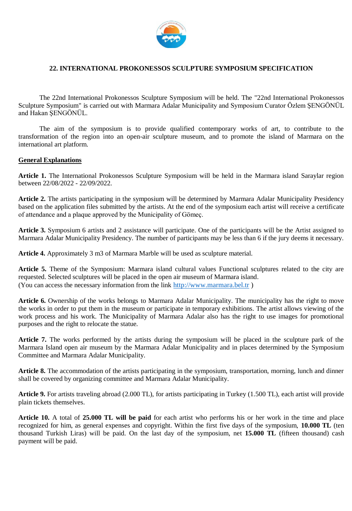

## **22. INTERNATIONAL PROKONESSOS SCULPTURE SYMPOSIUM SPECIFICATION**

The 22nd International Prokonessos Sculpture Symposium will be held. The "22nd International Prokonessos Sculpture Symposium" is carried out with Marmara Adalar Municipality and Symposium Curator Özlem ŞENGÖNÜL and Hakan ŞENGÖNÜL.

The aim of the symposium is to provide qualified contemporary works of art, to contribute to the transformation of the region into an open-air sculpture museum, and to promote the island of Marmara on the international art platform.

#### **General Explanations**

**Article 1.** The International Prokonessos Sculpture Symposium will be held in the Marmara island Saraylar region between 22/08/2022 - 22/09/2022.

**Article 2.** The artists participating in the symposium will be determined by Marmara Adalar Municipality Presidency based on the application files submitted by the artists. At the end of the symposium each artist will receive a certificate of attendance and a plaque approved by the Municipality of Gömeç.

**Article 3.** Symposium 6 artists and 2 assistance will participate. One of the participants will be the Artist assigned to Marmara Adalar Municipality Presidency. The number of participants may be less than 6 if the jury deems it necessary.

**Article 4.** Approximately 3 m3 of Marmara Marble will be used as sculpture material.

**Article 5.** Theme of the Symposium: Marmara island cultural values Functional sculptures related to the city are requested. Selected sculptures will be placed in the open air museum of Marmara island. (You can access the necessary information from the link [http://www.marmara.bel.tr](http://www.marmara.bel.tr/) )

**Article 6.** Ownership of the works belongs to Marmara Adalar Municipality. The municipality has the right to move the works in order to put them in the museum or participate in temporary exhibitions. The artist allows viewing of the work process and his work. The Municipality of Marmara Adalar also has the right to use images for promotional purposes and the right to relocate the statue.

**Article 7.** The works performed by the artists during the symposium will be placed in the sculpture park of the Marmara Island open air museum by the Marmara Adalar Municipality and in places determined by the Symposium Committee and Marmara Adalar Municipality.

**Article 8.** The accommodation of the artists participating in the symposium, transportation, morning, lunch and dinner shall be covered by organizing committee and Marmara Adalar Municipality.

**Article 9.** For artists traveling abroad (2.000 TL), for artists participating in Turkey (1.500 TL), each artist will provide plain tickets themselves.

**Article 10.** A total of **25.000 TL will be paid** for each artist who performs his or her work in the time and place recognized for him, as general expenses and copyright. Within the first five days of the symposium, **10.000 TL** (ten thousand Turkish Liras) will be paid. On the last day of the symposium, net **15.000 TL** (fifteen thousand) cash payment will be paid.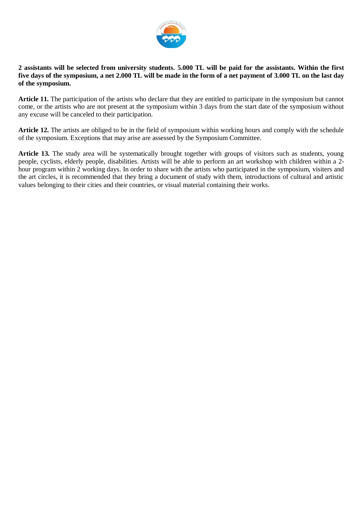

#### **2 assistants will be selected from university students. 5.000 TL will be paid for the assistants. Within the first five days of the symposium, a net 2.000 TL will be made in the form of a net payment of 3.000 TL on the last day of the symposium.**

**Article 11.** The participation of the artists who declare that they are entitled to participate in the symposium but cannot come, or the artists who are not present at the symposium within 3 days from the start date of the symposium without any excuse will be canceled to their participation.

**Article 12.** The artists are obliged to be in the field of symposium within working hours and comply with the schedule of the symposium. Exceptions that may arise are assessed by the Symposium Committee.

**Article 13.** The study area will be systematically brought together with groups of visitors such as students, young people, cyclists, elderly people, disabilities. Artists will be able to perform an art workshop with children within a 2 hour program within 2 working days. In order to share with the artists who participated in the symposium, visiters and the art circles, it is recommended that they bring a document of study with them, introductions of cultural and artistic values belonging to their cities and their countries, or visual material containing their works.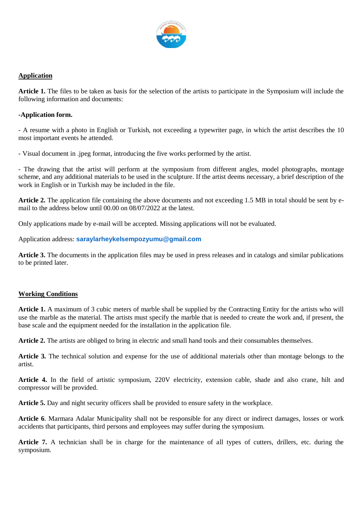

## **Application**

**Article 1.** The files to be taken as basis for the selection of the artists to participate in the Symposium will include the following information and documents:

#### **-Application form.**

- A resume with a photo in English or Turkish, not exceeding a typewriter page, in which the artist describes the 10 most important events he attended.

- Visual document in .jpeg format, introducing the five works performed by the artist.

- The drawing that the artist will perform at the symposium from different angles, model photographs, montage scheme, and any additional materials to be used in the sculpture. If the artist deems necessary, a brief description of the work in English or in Turkish may be included in the file.

**Article 2.** The application file containing the above documents and not exceeding 1.5 MB in total should be sent by email to the address below until 00.00 on 08/07/2022 at the latest.

Only applications made by e-mail will be accepted. Missing applications will not be evaluated.

Application address: **[saraylarheykelsempozyumu@gmail.com](mailto:saraylarheykelsempozyumu@gmail.com)**

**Article 3.** The documents in the application files may be used in press releases and in catalogs and similar publications to be printed later.

## **Working Conditions**

**Article 1.** A maximum of 3 cubic meters of marble shall be supplied by the Contracting Entity for the artists who will use the marble as the material. The artists must specify the marble that is needed to create the work and, if present, the base scale and the equipment needed for the installation in the application file.

**Article 2.** The artists are obliged to bring in electric and small hand tools and their consumables themselves.

**Article 3.** The technical solution and expense for the use of additional materials other than montage belongs to the artist.

**Article 4.** In the field of artistic symposium, 220V electricity, extension cable, shade and also crane, hilt and compressor will be provided.

**Article 5.** Day and night security officers shall be provided to ensure safety in the workplace.

**Article 6**. Marmara Adalar Municipality shall not be responsible for any direct or indirect damages, losses or work accidents that participants, third persons and employees may suffer during the symposium.

**Article 7.** A technician shall be in charge for the maintenance of all types of cutters, drillers, etc. during the symposium.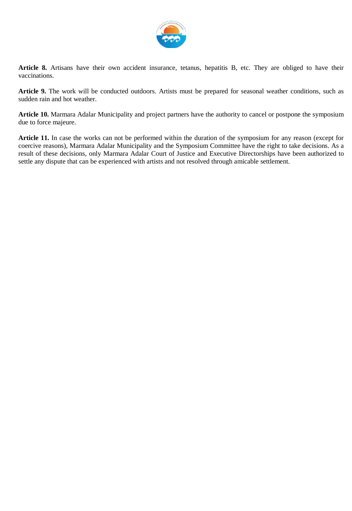

**Article 8.** Artisans have their own accident insurance, tetanus, hepatitis B, etc. They are obliged to have their vaccinations.

**Article 9.** The work will be conducted outdoors. Artists must be prepared for seasonal weather conditions, such as sudden rain and hot weather.

**Article 10.** Marmara Adalar Municipality and project partners have the authority to cancel or postpone the symposium due to force majeure.

**Article 11.** In case the works can not be performed within the duration of the symposium for any reason (except for coercive reasons), Marmara Adalar Municipality and the Symposium Committee have the right to take decisions. As a result of these decisions, only Marmara Adalar Court of Justice and Executive Directorships have been authorized to settle any dispute that can be experienced with artists and not resolved through amicable settlement.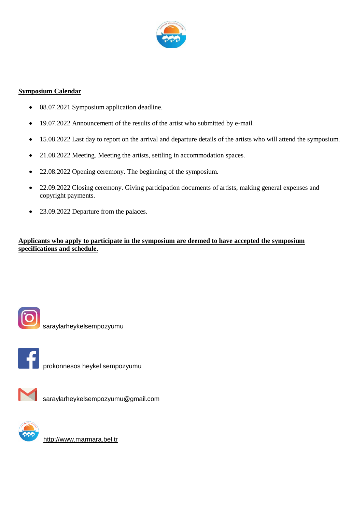

## **Symposium Calendar**

- 08.07.2021 Symposium application deadline.
- 19.07.2022 Announcement of the results of the artist who submitted by e-mail.
- 15.08.2022 Last day to report on the arrival and departure details of the artists who will attend the symposium.
- 21.08.2022 Meeting. Meeting the artists, settling in accommodation spaces.
- 22.08.2022 Opening ceremony. The beginning of the symposium.
- 22.09.2022 Closing ceremony. Giving participation documents of artists, making general expenses and copyright payments.
- 23.09.2022 Departure from the palaces.

**Applicants who apply to participate in the symposium are deemed to have accepted the symposium specifications and schedule.** 



saraylarheykelsempozyumu



prokonnesos heykel sempozyumu



[saraylarheykelsempozyumu@gmail.com](mailto:saraylarheykelsempozyumu@gmail.com)



[http://www.marmara.bel.tr](http://www.marmara.bel.tr/)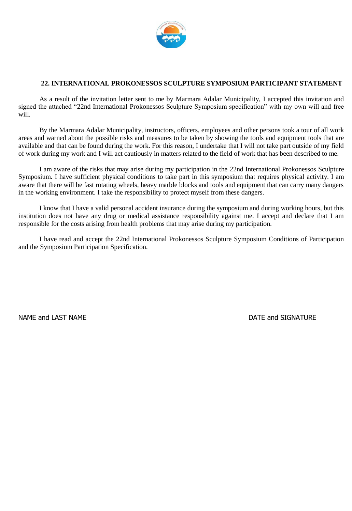

#### **22. INTERNATIONAL PROKONESSOS SCULPTURE SYMPOSIUM PARTICIPANT STATEMENT**

As a result of the invitation letter sent to me by Marmara Adalar Municipality, I accepted this invitation and signed the attached "22nd International Prokonessos Sculpture Symposium specification" with my own will and free will.

By the Marmara Adalar Municipality, instructors, officers, employees and other persons took a tour of all work areas and warned about the possible risks and measures to be taken by showing the tools and equipment tools that are available and that can be found during the work. For this reason, I undertake that I will not take part outside of my field of work during my work and I will act cautiously in matters related to the field of work that has been described to me.

I am aware of the risks that may arise during my participation in the 22nd International Prokonessos Sculpture Symposium. I have sufficient physical conditions to take part in this symposium that requires physical activity. I am aware that there will be fast rotating wheels, heavy marble blocks and tools and equipment that can carry many dangers in the working environment. I take the responsibility to protect myself from these dangers.

I know that I have a valid personal accident insurance during the symposium and during working hours, but this institution does not have any drug or medical assistance responsibility against me. I accept and declare that I am responsible for the costs arising from health problems that may arise during my participation.

I have read and accept the 22nd International Prokonessos Sculpture Symposium Conditions of Participation and the Symposium Participation Specification.

NAME and LAST NAME